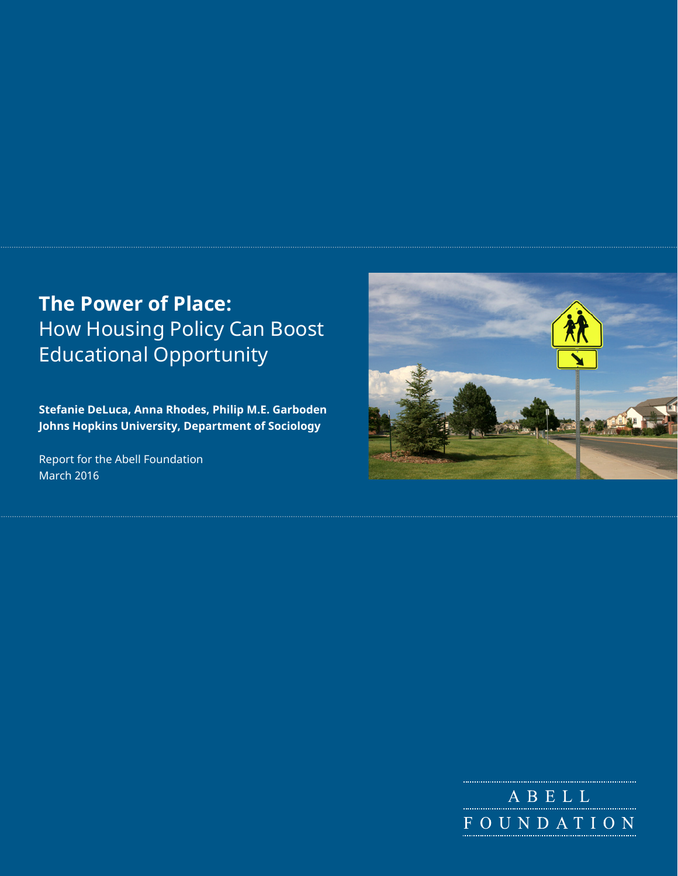# **The Power of Place:**  How Housing Policy Can Boost Educational Opportunity

**Stefanie DeLuca, Anna Rhodes, Philip M.E. Garboden Johns Hopkins University, Department of Sociology**

Report for the Abell Foundation March 2016



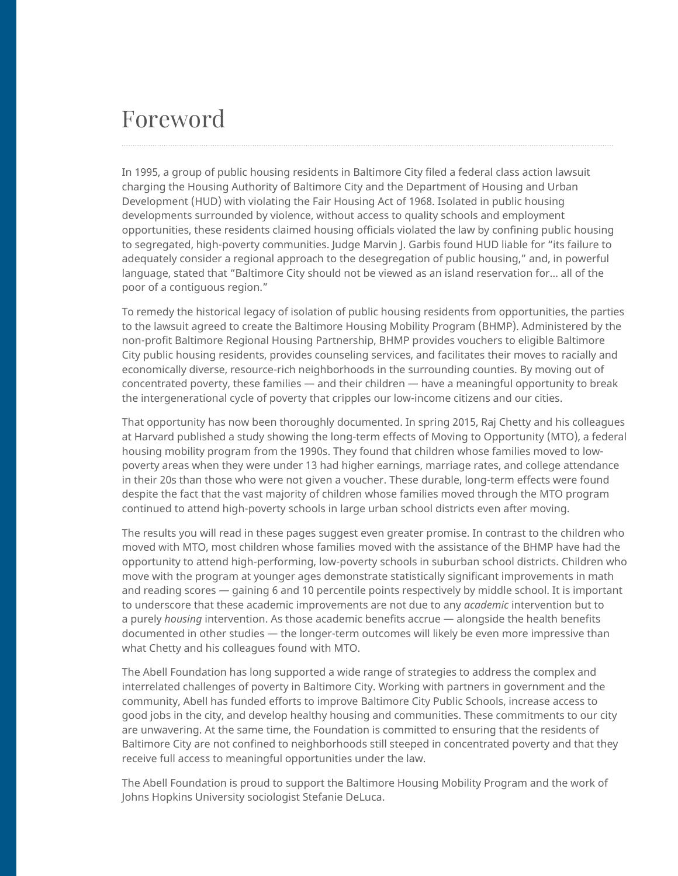# Foreword

In 1995, a group of public housing residents in Baltimore City filed a federal class action lawsuit charging the Housing Authority of Baltimore City and the Department of Housing and Urban Development (HUD) with violating the Fair Housing Act of 1968. Isolated in public housing developments surrounded by violence, without access to quality schools and employment opportunities, these residents claimed housing officials violated the law by confining public housing to segregated, high-poverty communities. Judge Marvin J. Garbis found HUD liable for "its failure to adequately consider a regional approach to the desegregation of public housing," and, in powerful language, stated that "Baltimore City should not be viewed as an island reservation for… all of the poor of a contiguous region."

To remedy the historical legacy of isolation of public housing residents from opportunities, the parties to the lawsuit agreed to create the Baltimore Housing Mobility Program (BHMP). Administered by the non-profit Baltimore Regional Housing Partnership, BHMP provides vouchers to eligible Baltimore City public housing residents, provides counseling services, and facilitates their moves to racially and economically diverse, resource-rich neighborhoods in the surrounding counties. By moving out of concentrated poverty, these families — and their children — have a meaningful opportunity to break the intergenerational cycle of poverty that cripples our low-income citizens and our cities.

That opportunity has now been thoroughly documented. In spring 2015, Raj Chetty and his colleagues at Harvard published a study showing the long-term effects of Moving to Opportunity (MTO), a federal housing mobility program from the 1990s. They found that children whose families moved to lowpoverty areas when they were under 13 had higher earnings, marriage rates, and college attendance in their 20s than those who were not given a voucher. These durable, long-term effects were found despite the fact that the vast majority of children whose families moved through the MTO program continued to attend high-poverty schools in large urban school districts even after moving.

The results you will read in these pages suggest even greater promise. In contrast to the children who moved with MTO, most children whose families moved with the assistance of the BHMP have had the opportunity to attend high-performing, low-poverty schools in suburban school districts. Children who move with the program at younger ages demonstrate statistically significant improvements in math and reading scores — gaining 6 and 10 percentile points respectively by middle school. It is important to underscore that these academic improvements are not due to any *academic* intervention but to a purely *housing* intervention. As those academic benefits accrue — alongside the health benefits documented in other studies — the longer-term outcomes will likely be even more impressive than what Chetty and his colleagues found with MTO.

The Abell Foundation has long supported a wide range of strategies to address the complex and interrelated challenges of poverty in Baltimore City. Working with partners in government and the community, Abell has funded efforts to improve Baltimore City Public Schools, increase access to good jobs in the city, and develop healthy housing and communities. These commitments to our city are unwavering. At the same time, the Foundation is committed to ensuring that the residents of Baltimore City are not confined to neighborhoods still steeped in concentrated poverty and that they receive full access to meaningful opportunities under the law.

The Abell Foundation is proud to support the Baltimore Housing Mobility Program and the work of Johns Hopkins University sociologist Stefanie DeLuca.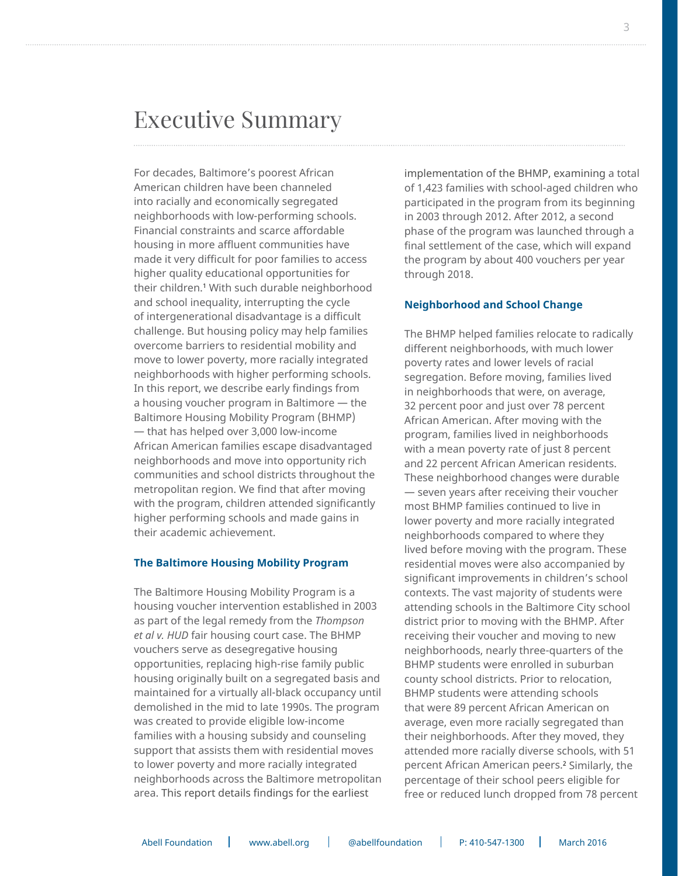### Executive Summary

For decades, Baltimore's poorest African American children have been channeled into racially and economically segregated neighborhoods with low-performing schools. Financial constraints and scarce affordable housing in more affluent communities have made it very difficult for poor families to access higher quality educational opportunities for their children.1 With such durable neighborhood and school inequality, interrupting the cycle of intergenerational disadvantage is a difficult challenge. But housing policy may help families overcome barriers to residential mobility and move to lower poverty, more racially integrated neighborhoods with higher performing schools. In this report, we describe early findings from a housing voucher program in Baltimore — the Baltimore Housing Mobility Program (BHMP) — that has helped over 3,000 low-income African American families escape disadvantaged neighborhoods and move into opportunity rich communities and school districts throughout the metropolitan region. We find that after moving with the program, children attended significantly higher performing schools and made gains in their academic achievement.

#### **The Baltimore Housing Mobility Program**

The Baltimore Housing Mobility Program is a housing voucher intervention established in 2003 as part of the legal remedy from the *Thompson et al v. HUD* fair housing court case. The BHMP vouchers serve as desegregative housing opportunities, replacing high-rise family public housing originally built on a segregated basis and maintained for a virtually all-black occupancy until demolished in the mid to late 1990s. The program was created to provide eligible low-income families with a housing subsidy and counseling support that assists them with residential moves to lower poverty and more racially integrated neighborhoods across the Baltimore metropolitan area. This report details findings for the earliest

implementation of the BHMP, examining a total of 1,423 families with school-aged children who participated in the program from its beginning in 2003 through 2012. After 2012, a second phase of the program was launched through a final settlement of the case, which will expand the program by about 400 vouchers per year through 2018.

#### **Neighborhood and School Change**

The BHMP helped families relocate to radically different neighborhoods, with much lower poverty rates and lower levels of racial segregation. Before moving, families lived in neighborhoods that were, on average, 32 percent poor and just over 78 percent African American. After moving with the program, families lived in neighborhoods with a mean poverty rate of just 8 percent and 22 percent African American residents. These neighborhood changes were durable — seven years after receiving their voucher most BHMP families continued to live in lower poverty and more racially integrated neighborhoods compared to where they lived before moving with the program. These residential moves were also accompanied by significant improvements in children's school contexts. The vast majority of students were attending schools in the Baltimore City school district prior to moving with the BHMP. After receiving their voucher and moving to new neighborhoods, nearly three-quarters of the BHMP students were enrolled in suburban county school districts. Prior to relocation, BHMP students were attending schools that were 89 percent African American on average, even more racially segregated than their neighborhoods. After they moved, they attended more racially diverse schools, with 51 percent African American peers.2 Similarly, the percentage of their school peers eligible for free or reduced lunch dropped from 78 percent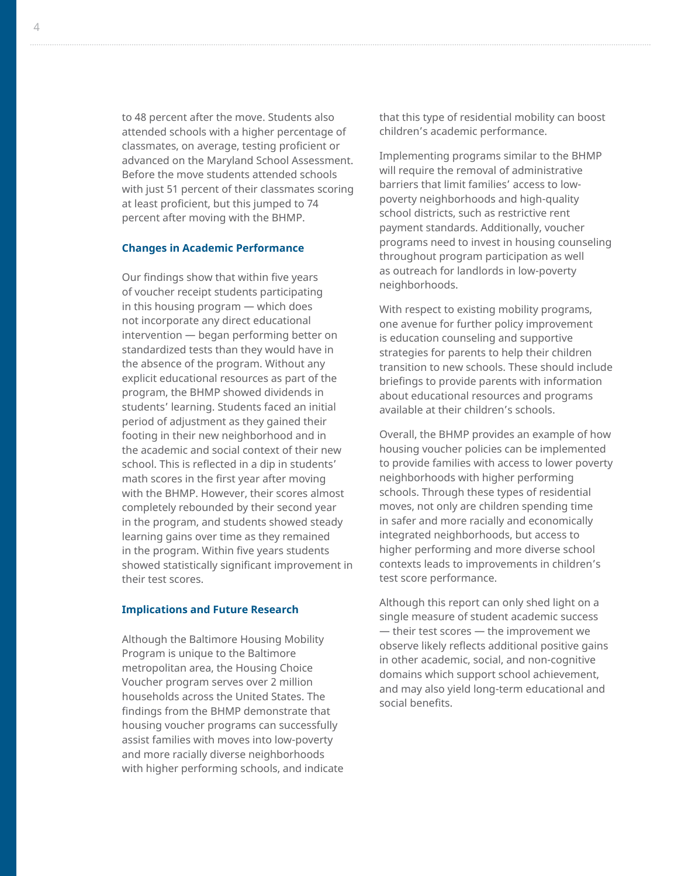to 48 percent after the move. Students also attended schools with a higher percentage of classmates, on average, testing proficient or advanced on the Maryland School Assessment. Before the move students attended schools with just 51 percent of their classmates scoring at least proficient, but this jumped to 74 percent after moving with the BHMP.

#### **Changes in Academic Performance**

Our findings show that within five years of voucher receipt students participating in this housing program — which does not incorporate any direct educational intervention — began performing better on standardized tests than they would have in the absence of the program. Without any explicit educational resources as part of the program, the BHMP showed dividends in students' learning. Students faced an initial period of adjustment as they gained their footing in their new neighborhood and in the academic and social context of their new school. This is reflected in a dip in students' math scores in the first year after moving with the BHMP. However, their scores almost completely rebounded by their second year in the program, and students showed steady learning gains over time as they remained in the program. Within five years students showed statistically significant improvement in their test scores.

#### **Implications and Future Research**

Although the Baltimore Housing Mobility Program is unique to the Baltimore metropolitan area, the Housing Choice Voucher program serves over 2 million households across the United States. The findings from the BHMP demonstrate that housing voucher programs can successfully assist families with moves into low-poverty and more racially diverse neighborhoods with higher performing schools, and indicate that this type of residential mobility can boost children's academic performance.

Implementing programs similar to the BHMP will require the removal of administrative barriers that limit families' access to lowpoverty neighborhoods and high-quality school districts, such as restrictive rent payment standards. Additionally, voucher programs need to invest in housing counseling throughout program participation as well as outreach for landlords in low-poverty neighborhoods.

With respect to existing mobility programs, one avenue for further policy improvement is education counseling and supportive strategies for parents to help their children transition to new schools. These should include briefings to provide parents with information about educational resources and programs available at their children's schools.

Overall, the BHMP provides an example of how housing voucher policies can be implemented to provide families with access to lower poverty neighborhoods with higher performing schools. Through these types of residential moves, not only are children spending time in safer and more racially and economically integrated neighborhoods, but access to higher performing and more diverse school contexts leads to improvements in children's test score performance.

Although this report can only shed light on a single measure of student academic success — their test scores — the improvement we observe likely reflects additional positive gains in other academic, social, and non-cognitive domains which support school achievement, and may also yield long-term educational and social benefits.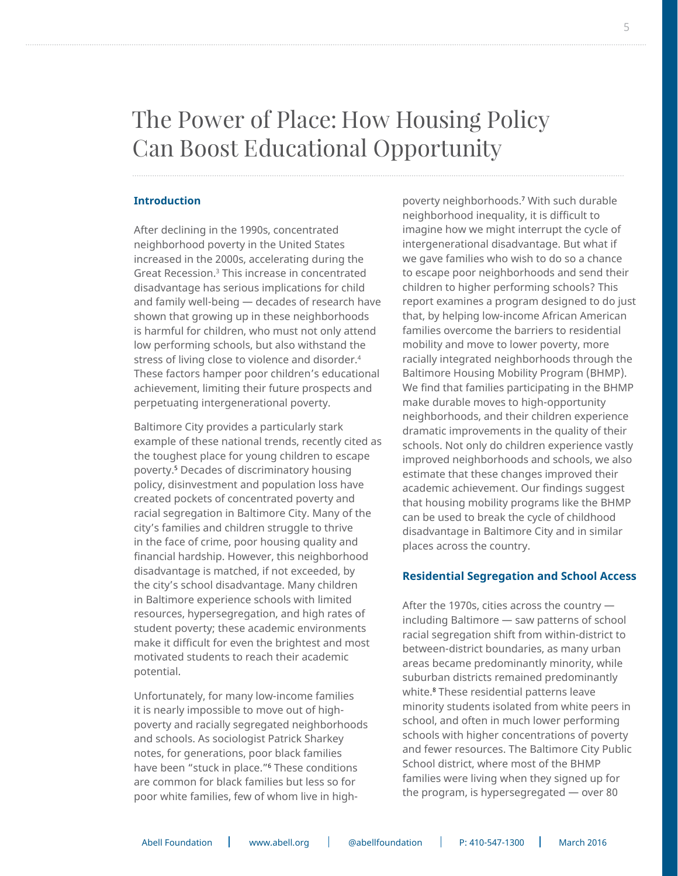# The Power of Place: How Housing Policy Can Boost Educational Opportunity

#### **Introduction**

After declining in the 1990s, concentrated neighborhood poverty in the United States increased in the 2000s, accelerating during the Great Recession.3 This increase in concentrated disadvantage has serious implications for child and family well-being — decades of research have shown that growing up in these neighborhoods is harmful for children, who must not only attend low performing schools, but also withstand the stress of living close to violence and disorder.4 These factors hamper poor children's educational achievement, limiting their future prospects and perpetuating intergenerational poverty.

Baltimore City provides a particularly stark example of these national trends, recently cited as the toughest place for young children to escape poverty.5 Decades of discriminatory housing policy, disinvestment and population loss have created pockets of concentrated poverty and racial segregation in Baltimore City. Many of the city's families and children struggle to thrive in the face of crime, poor housing quality and financial hardship. However, this neighborhood disadvantage is matched, if not exceeded, by the city's school disadvantage. Many children in Baltimore experience schools with limited resources, hypersegregation, and high rates of student poverty; these academic environments make it difficult for even the brightest and most motivated students to reach their academic potential.

Unfortunately, for many low-income families it is nearly impossible to move out of highpoverty and racially segregated neighborhoods and schools. As sociologist Patrick Sharkey notes, for generations, poor black families have been "stuck in place."6 These conditions are common for black families but less so for poor white families, few of whom live in high-

poverty neighborhoods.7 With such durable neighborhood inequality, it is difficult to imagine how we might interrupt the cycle of intergenerational disadvantage. But what if we gave families who wish to do so a chance to escape poor neighborhoods and send their children to higher performing schools? This report examines a program designed to do just that, by helping low-income African American families overcome the barriers to residential mobility and move to lower poverty, more racially integrated neighborhoods through the Baltimore Housing Mobility Program (BHMP). We find that families participating in the BHMP make durable moves to high-opportunity neighborhoods, and their children experience dramatic improvements in the quality of their schools. Not only do children experience vastly improved neighborhoods and schools, we also estimate that these changes improved their academic achievement. Our findings suggest that housing mobility programs like the BHMP can be used to break the cycle of childhood disadvantage in Baltimore City and in similar places across the country.

#### **Residential Segregation and School Access**

After the 1970s, cities across the country including Baltimore — saw patterns of school racial segregation shift from within-district to between-district boundaries, as many urban areas became predominantly minority, while suburban districts remained predominantly white.8 These residential patterns leave minority students isolated from white peers in school, and often in much lower performing schools with higher concentrations of poverty and fewer resources. The Baltimore City Public School district, where most of the BHMP families were living when they signed up for the program, is hypersegregated — over 80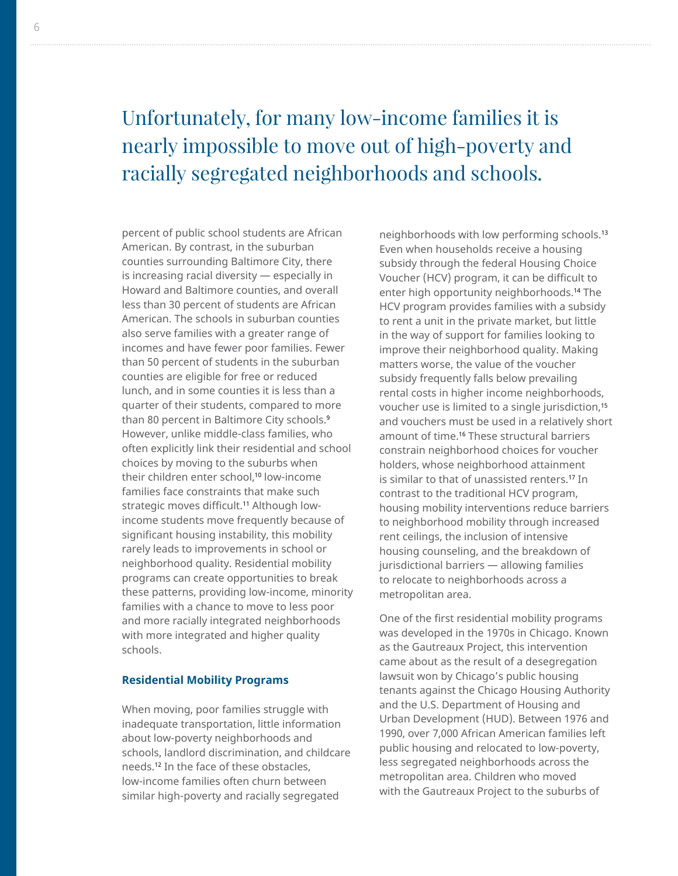# Unfortunately, for many low-income families it is nearly impossible to move out of high-poverty and racially segregated neighborhoods and schools.

percent of public school students are African American. By contrast, in the suburban counties surrounding Baltimore City, there is increasing racial diversity — especially in Howard and Baltimore counties, and overall less than 30 percent of students are African American. The schools in suburban counties also serve families with a greater range of incomes and have fewer poor families. Fewer than 50 percent of students in the suburban counties are eligible for free or reduced lunch, and in some counties it is less than a quarter of their students, compared to more than 80 percent in Baltimore City schools.<sup>9</sup> However, unlike middle-class families, who often explicitly link their residential and school choices by moving to the suburbs when their children enter school.<sup>10</sup> low-income families face constraints that make such strategic moves difficult.<sup>11</sup> Although lowincome students move frequently because of significant housing instability, this mobility rarely leads to improvements in school or neighborhood quality. Residential mobility programs can create opportunities to break these patterns, providing low-income, minority families with a chance to move to less poor and more racially integrated neighborhoods with more integrated and higher quality schools.

#### **Residential Mobility Programs**

When moving, poor families struggle with inadequate transportation, little information about low-poverty neighborhoods and schools, landlord discrimination, and childcare needs.12 In the face of these obstacles, low-income families often churn between similar high-poverty and racially segregated

neighborhoods with low performing schools.13 Even when households receive a housing subsidy through the federal Housing Choice Voucher (HCV) program, it can be difficult to enter high opportunity neighborhoods.<sup>14</sup> The HCV program provides families with a subsidy to rent a unit in the private market, but little in the way of support for families looking to improve their neighborhood quality. Making matters worse, the value of the voucher subsidy frequently falls below prevailing rental costs in higher income neighborhoods, voucher use is limited to a single jurisdiction,<sup>15</sup> and vouchers must be used in a relatively short amount of time.16 These structural barriers constrain neighborhood choices for voucher holders, whose neighborhood attainment is similar to that of unassisted renters.<sup>17</sup> In contrast to the traditional HCV program, housing mobility interventions reduce barriers to neighborhood mobility through increased rent ceilings, the inclusion of intensive housing counseling, and the breakdown of jurisdictional barriers — allowing families to relocate to neighborhoods across a metropolitan area.

One of the first residential mobility programs was developed in the 1970s in Chicago. Known as the Gautreaux Project, this intervention came about as the result of a desegregation lawsuit won by Chicago's public housing tenants against the Chicago Housing Authority and the U.S. Department of Housing and Urban Development (HUD). Between 1976 and 1990, over 7,000 African American families left public housing and relocated to low-poverty, less segregated neighborhoods across the metropolitan area. Children who moved with the Gautreaux Project to the suburbs of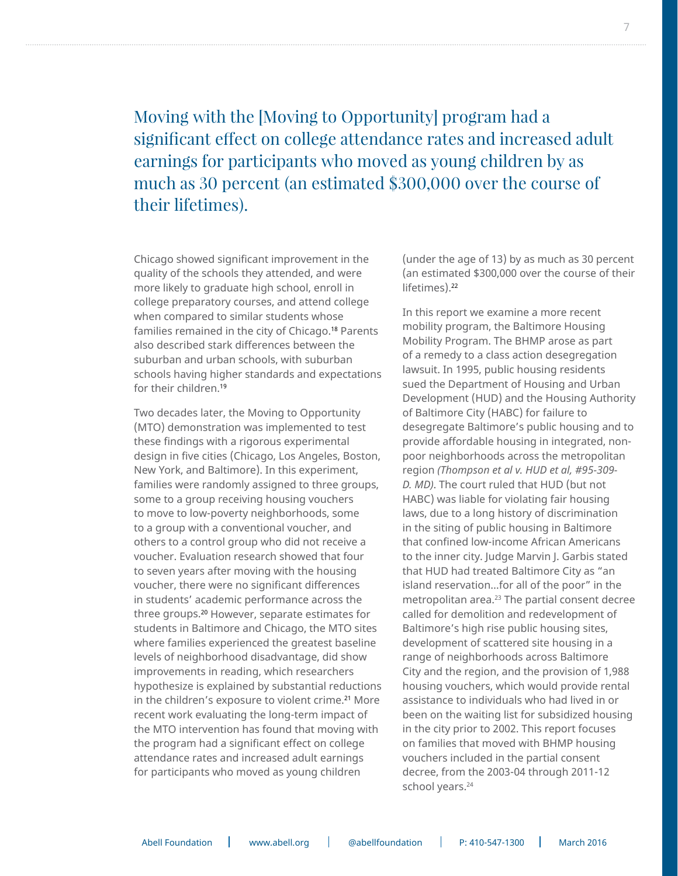### Moving with the [Moving to Opportunity] program had a significant effect on college attendance rates and increased adult earnings for participants who moved as young children by as much as 30 percent (an estimated \$300,000 over the course of their lifetimes).

Chicago showed significant improvement in the quality of the schools they attended, and were more likely to graduate high school, enroll in college preparatory courses, and attend college when compared to similar students whose families remained in the city of Chicago.<sup>18</sup> Parents also described stark differences between the suburban and urban schools, with suburban schools having higher standards and expectations for their children.19

Two decades later, the Moving to Opportunity (MTO) demonstration was implemented to test these findings with a rigorous experimental design in five cities (Chicago, Los Angeles, Boston, New York, and Baltimore). In this experiment, families were randomly assigned to three groups, some to a group receiving housing vouchers to move to low-poverty neighborhoods, some to a group with a conventional voucher, and others to a control group who did not receive a voucher. Evaluation research showed that four to seven years after moving with the housing voucher, there were no significant differences in students' academic performance across the three groups.20 However, separate estimates for students in Baltimore and Chicago, the MTO sites where families experienced the greatest baseline levels of neighborhood disadvantage, did show improvements in reading, which researchers hypothesize is explained by substantial reductions in the children's exposure to violent crime.<sup>21</sup> More recent work evaluating the long-term impact of the MTO intervention has found that moving with the program had a significant effect on college attendance rates and increased adult earnings for participants who moved as young children

(under the age of 13) by as much as 30 percent (an estimated \$300,000 over the course of their lifetimes).<sup>22</sup>

In this report we examine a more recent mobility program, the Baltimore Housing Mobility Program. The BHMP arose as part of a remedy to a class action desegregation lawsuit. In 1995, public housing residents sued the Department of Housing and Urban Development (HUD) and the Housing Authority of Baltimore City (HABC) for failure to desegregate Baltimore's public housing and to provide affordable housing in integrated, nonpoor neighborhoods across the metropolitan region *(Thompson et al v. HUD et al, #95-309- D. MD)*. The court ruled that HUD (but not HABC) was liable for violating fair housing laws, due to a long history of discrimination in the siting of public housing in Baltimore that confined low-income African Americans to the inner city. Judge Marvin J. Garbis stated that HUD had treated Baltimore City as "an island reservation…for all of the poor" in the metropolitan area.23 The partial consent decree called for demolition and redevelopment of Baltimore's high rise public housing sites, development of scattered site housing in a range of neighborhoods across Baltimore City and the region, and the provision of 1,988 housing vouchers, which would provide rental assistance to individuals who had lived in or been on the waiting list for subsidized housing in the city prior to 2002. This report focuses on families that moved with BHMP housing vouchers included in the partial consent decree, from the 2003-04 through 2011-12 school years.<sup>24</sup>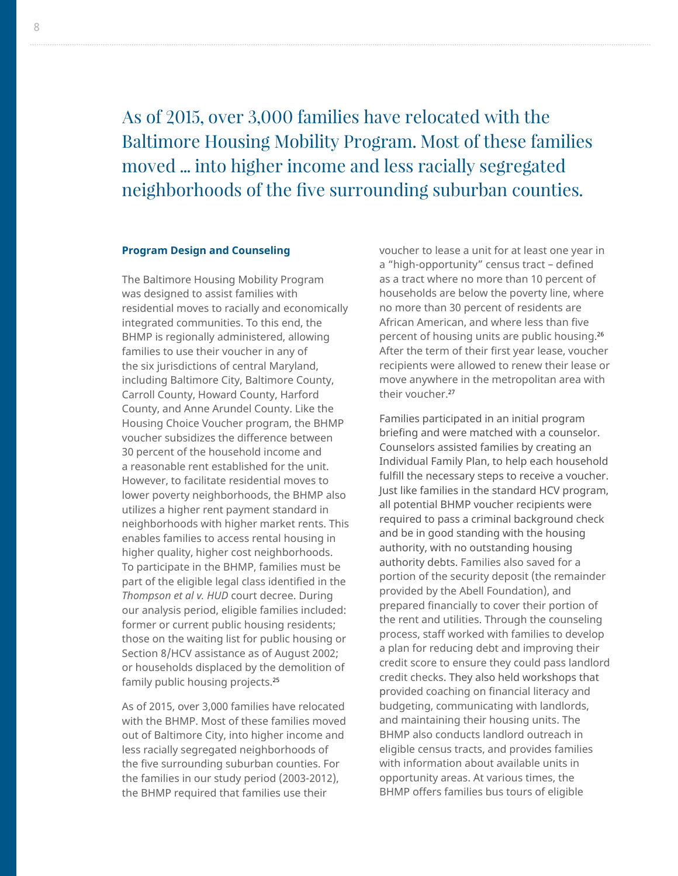As of 2015, over 3,000 families have relocated with the Baltimore Housing Mobility Program. Most of these families moved ... into higher income and less racially segregated neighborhoods of the five surrounding suburban counties.

#### **Program Design and Counseling**

The Baltimore Housing Mobility Program was designed to assist families with residential moves to racially and economically integrated communities. To this end, the BHMP is regionally administered, allowing families to use their voucher in any of the six jurisdictions of central Maryland, including Baltimore City, Baltimore County, Carroll County, Howard County, Harford County, and Anne Arundel County. Like the Housing Choice Voucher program, the BHMP voucher subsidizes the difference between 30 percent of the household income and a reasonable rent established for the unit. However, to facilitate residential moves to lower poverty neighborhoods, the BHMP also utilizes a higher rent payment standard in neighborhoods with higher market rents. This enables families to access rental housing in higher quality, higher cost neighborhoods. To participate in the BHMP, families must be part of the eligible legal class identified in the *Thompson et al v. HUD* court decree. During our analysis period, eligible families included: former or current public housing residents; those on the waiting list for public housing or Section 8/HCV assistance as of August 2002; or households displaced by the demolition of family public housing projects.<sup>25</sup>

As of 2015, over 3,000 families have relocated with the BHMP. Most of these families moved out of Baltimore City, into higher income and less racially segregated neighborhoods of the five surrounding suburban counties. For the families in our study period (2003-2012), the BHMP required that families use their

voucher to lease a unit for at least one year in a "high-opportunity" census tract – defined as a tract where no more than 10 percent of households are below the poverty line, where no more than 30 percent of residents are African American, and where less than five percent of housing units are public housing.26 After the term of their first year lease, voucher recipients were allowed to renew their lease or move anywhere in the metropolitan area with their voucher.27

Families participated in an initial program briefing and were matched with a counselor. Counselors assisted families by creating an Individual Family Plan, to help each household fulfill the necessary steps to receive a voucher. Just like families in the standard HCV program, all potential BHMP voucher recipients were required to pass a criminal background check and be in good standing with the housing authority, with no outstanding housing authority debts. Families also saved for a portion of the security deposit (the remainder provided by the Abell Foundation), and prepared financially to cover their portion of the rent and utilities. Through the counseling process, staff worked with families to develop a plan for reducing debt and improving their credit score to ensure they could pass landlord credit checks. They also held workshops that provided coaching on financial literacy and budgeting, communicating with landlords, and maintaining their housing units. The BHMP also conducts landlord outreach in eligible census tracts, and provides families with information about available units in opportunity areas. At various times, the BHMP offers families bus tours of eligible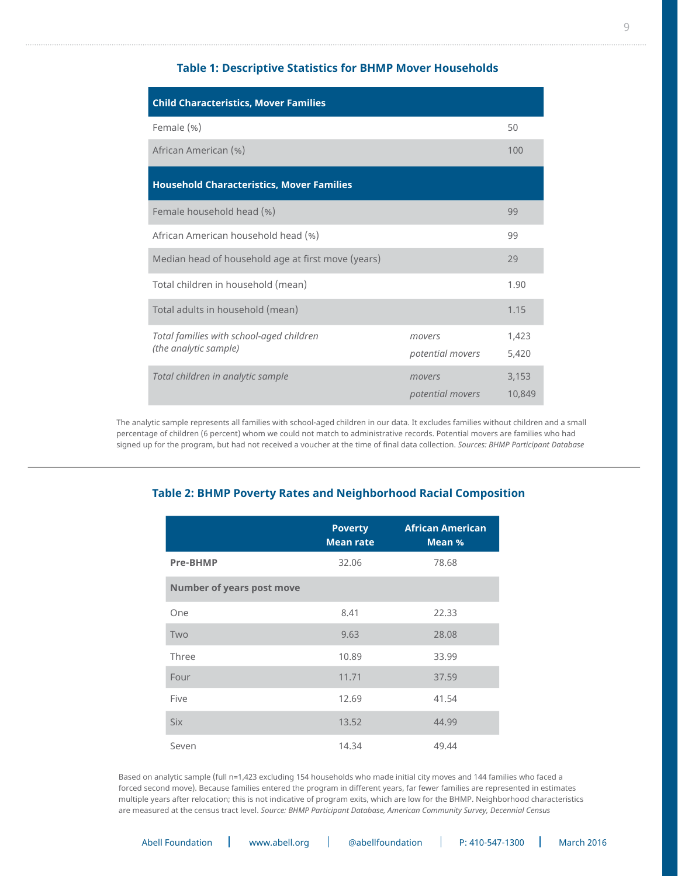#### **Table 1: Descriptive Statistics for BHMP Mover Households**

| <b>Child Characteristics, Mover Families</b>                      |                            |                 |  |  |  |
|-------------------------------------------------------------------|----------------------------|-----------------|--|--|--|
| Female (%)                                                        |                            | 50              |  |  |  |
| African American (%)                                              |                            | 100             |  |  |  |
| <b>Household Characteristics, Mover Families</b>                  |                            |                 |  |  |  |
| Female household head (%)                                         |                            | 99              |  |  |  |
| African American household head (%)                               |                            | 99              |  |  |  |
| Median head of household age at first move (years)                |                            | 29              |  |  |  |
| Total children in household (mean)                                |                            | 1.90            |  |  |  |
| Total adults in household (mean)                                  |                            | 1.15            |  |  |  |
| Total families with school-aged children<br>(the analytic sample) | movers<br>potential movers | 1,423<br>5,420  |  |  |  |
| Total children in analytic sample                                 | movers<br>potential movers | 3,153<br>10,849 |  |  |  |

The analytic sample represents all families with school-aged children in our data. It excludes families without children and a small percentage of children (6 percent) whom we could not match to administrative records. Potential movers are families who had signed up for the program, but had not received a voucher at the time of final data collection. *Sources: BHMP Participant Database*

#### **Table 2: BHMP Poverty Rates and Neighborhood Racial Composition**

|                           | <b>Poverty</b><br><b>Mean rate</b> | <b>African American</b><br>Mean % |
|---------------------------|------------------------------------|-----------------------------------|
| Pre-BHMP                  | 32.06                              | 78.68                             |
| Number of years post move |                                    |                                   |
| One                       | 8.41                               | 22.33                             |
| Two                       | 9.63                               | 28.08                             |
| Three                     | 10.89                              | 33.99                             |
| Four                      | 11.71                              | 37.59                             |
| Five                      | 12.69                              | 41.54                             |
| <b>Six</b>                | 13.52                              | 44.99                             |
| Seven                     | 14.34                              | 49.44                             |

Based on analytic sample (full n=1,423 excluding 154 households who made initial city moves and 144 families who faced a forced second move). Because families entered the program in different years, far fewer families are represented in estimates multiple years after relocation; this is not indicative of program exits, which are low for the BHMP. Neighborhood characteristics are measured at the census tract level. *Source: BHMP Participant Database, American Community Survey, Decennial Census*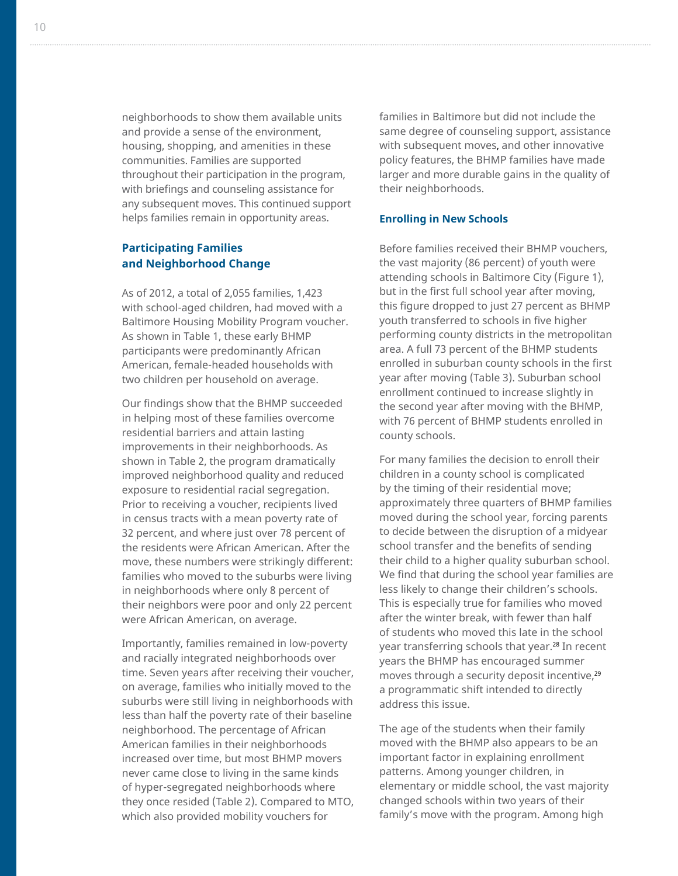neighborhoods to show them available units and provide a sense of the environment, housing, shopping, and amenities in these communities. Families are supported throughout their participation in the program, with briefings and counseling assistance for any subsequent moves. This continued support helps families remain in opportunity areas.

#### **Participating Families and Neighborhood Change**

As of 2012, a total of 2,055 families, 1,423 with school-aged children, had moved with a Baltimore Housing Mobility Program voucher. As shown in Table 1, these early BHMP participants were predominantly African American, female-headed households with two children per household on average.

Our findings show that the BHMP succeeded in helping most of these families overcome residential barriers and attain lasting improvements in their neighborhoods. As shown in Table 2, the program dramatically improved neighborhood quality and reduced exposure to residential racial segregation. Prior to receiving a voucher, recipients lived in census tracts with a mean poverty rate of 32 percent, and where just over 78 percent of the residents were African American. After the move, these numbers were strikingly different: families who moved to the suburbs were living in neighborhoods where only 8 percent of their neighbors were poor and only 22 percent were African American, on average.

Importantly, families remained in low-poverty and racially integrated neighborhoods over time. Seven years after receiving their voucher, on average, families who initially moved to the suburbs were still living in neighborhoods with less than half the poverty rate of their baseline neighborhood. The percentage of African American families in their neighborhoods increased over time, but most BHMP movers never came close to living in the same kinds of hyper-segregated neighborhoods where they once resided (Table 2). Compared to MTO, which also provided mobility vouchers for

families in Baltimore but did not include the same degree of counseling support, assistance with subsequent moves, and other innovative policy features, the BHMP families have made larger and more durable gains in the quality of their neighborhoods.

#### **Enrolling in New Schools**

Before families received their BHMP vouchers, the vast majority (86 percent) of youth were attending schools in Baltimore City (Figure 1), but in the first full school year after moving, this figure dropped to just 27 percent as BHMP youth transferred to schools in five higher performing county districts in the metropolitan area. A full 73 percent of the BHMP students enrolled in suburban county schools in the first year after moving (Table 3). Suburban school enrollment continued to increase slightly in the second year after moving with the BHMP, with 76 percent of BHMP students enrolled in county schools.

For many families the decision to enroll their children in a county school is complicated by the timing of their residential move; approximately three quarters of BHMP families moved during the school year, forcing parents to decide between the disruption of a midyear school transfer and the benefits of sending their child to a higher quality suburban school. We find that during the school year families are less likely to change their children's schools. This is especially true for families who moved after the winter break, with fewer than half of students who moved this late in the school year transferring schools that year.<sup>28</sup> In recent years the BHMP has encouraged summer moves through a security deposit incentive,<sup>29</sup> a programmatic shift intended to directly address this issue.

The age of the students when their family moved with the BHMP also appears to be an important factor in explaining enrollment patterns. Among younger children, in elementary or middle school, the vast majority changed schools within two years of their family's move with the program. Among high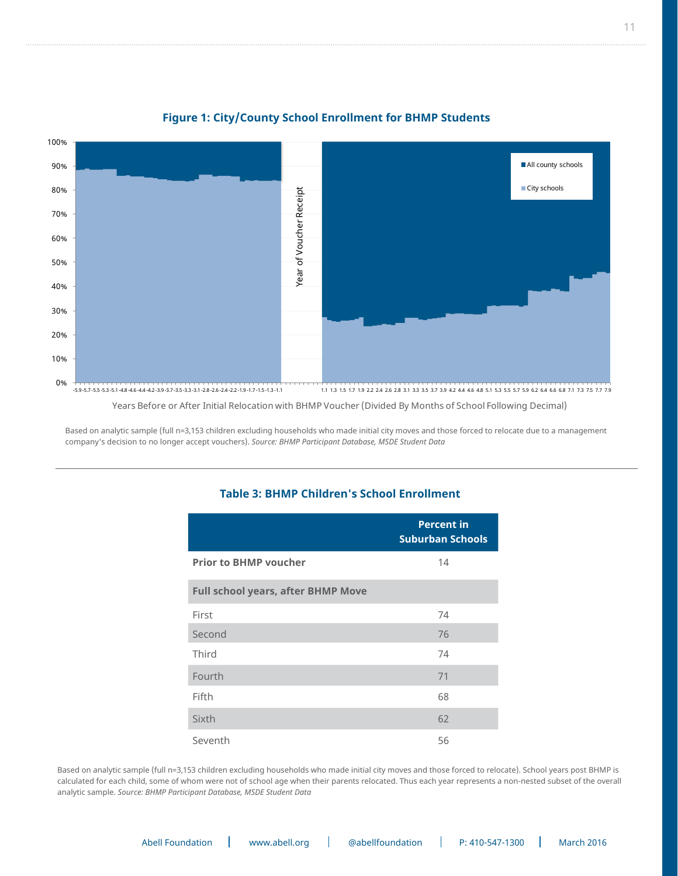

#### **Figure 1: City/County School Enrollment for BHMP Students Figure 1: City/County School Attendance for BHMP Students**

Years Before or After Initial Relocation with BHMP Voucher (Divided By Months of School Following Decimal)

Based on analytic sample (full n=3,153 children excluding households who made initial city moves and those forced to relocate due to a management company's decision to no longer accept vouchers). *Source: BHMP Participant Database, MSDE Student Data*

#### **Table 3: BHMP Children's School Enrollment**

|                                           | <b>Percent in</b><br><b>Suburban Schools</b> |  |  |  |  |
|-------------------------------------------|----------------------------------------------|--|--|--|--|
| <b>Prior to BHMP voucher</b>              | 14                                           |  |  |  |  |
| <b>Full school years, after BHMP Move</b> |                                              |  |  |  |  |
| First                                     | 74                                           |  |  |  |  |
| Second                                    | 76                                           |  |  |  |  |
| Third                                     | 74                                           |  |  |  |  |
| Fourth                                    | 71                                           |  |  |  |  |
| Fifth                                     | 68                                           |  |  |  |  |
| Sixth                                     | 62                                           |  |  |  |  |
| Seventh                                   | 56                                           |  |  |  |  |

Based on analytic sample (full n=3,153 children excluding households who made initial city moves and those forced to relocate). School years post BHMP is calculated for each child, some of whom were not of school age when their parents relocated. Thus each year represents a non-nested subset of the overall analytic sample. *Source: BHMP Participant Database, MSDE Student Data*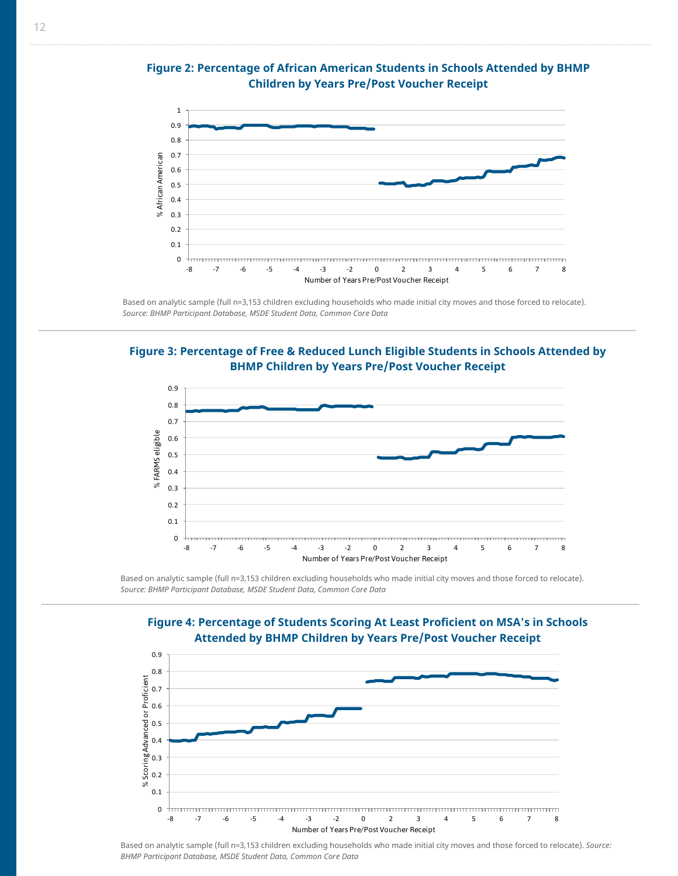

Figure 2: Percentage of African American Students in Schools Attended by BHMP **Children by Years Pre/Post Voucher Receipt Figure 2: Percentage of African American Students in Schools Attended by BHMP** 

Based on analytic sample (full n=3,153 children excluding households who made initial city moves and those forced to relocate). *Source: BHMP Participant Database, MSDE Student Data, Common Core Data*

Pillan Children by Venus Due (Best Veysbou Beseints BHMP Children by Years Pre/Post Voucher Receipt **Figure 3: Percentage of Free & Reduced Lunch Eligible Students in Schools Attended by** 



Based on analytic sample (full n=3,153 children excluding households who made initial city moves and those forced to relocate). *Source: BHMP Participant Database, MSDE Student Data, Common Core Data*





Based on analytic sample (full n=3,153 children excluding households who made initial city moves and those forced to relocate). *Source: BHMP Participant Database, MSDE Student Data, Common Core Data*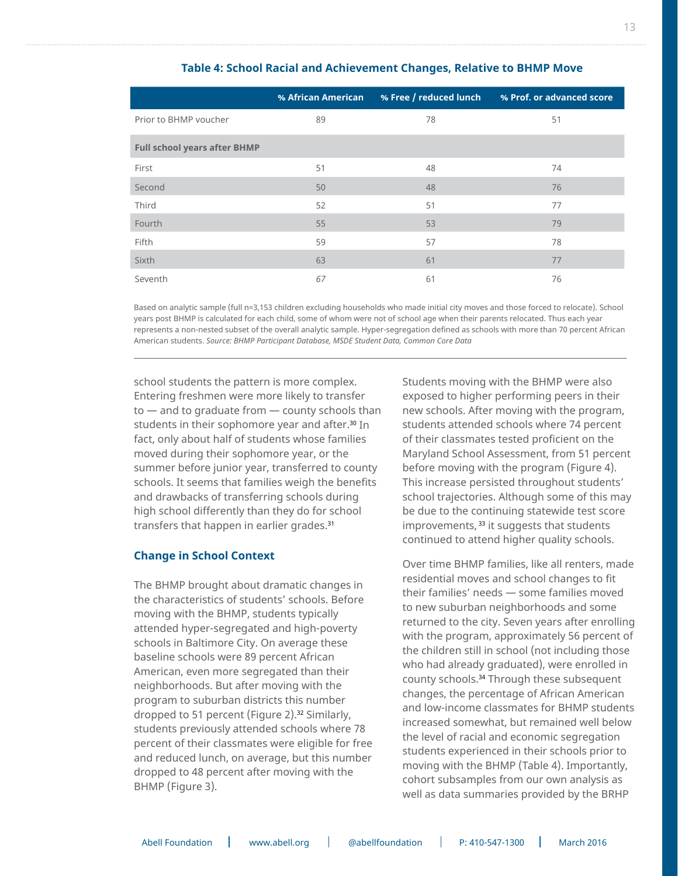|                                     | % African American |    | % Free / reduced lunch % Prof. or advanced score |
|-------------------------------------|--------------------|----|--------------------------------------------------|
| Prior to BHMP voucher               | 89                 | 78 | 51                                               |
| <b>Full school years after BHMP</b> |                    |    |                                                  |
| First                               | 51                 | 48 | 74                                               |
| Second                              | 50                 | 48 | 76                                               |
| Third                               | 52                 | 51 | 77                                               |
| Fourth                              | 55                 | 53 | 79                                               |
| Fifth                               | 59                 | 57 | 78                                               |
| Sixth                               | 63                 | 61 | 77                                               |
| Seventh                             | 67                 | 61 | 76                                               |

#### **Table 4: School Racial and Achievement Changes, Relative to BHMP Move**

Based on analytic sample (full n=3,153 children excluding households who made initial city moves and those forced to relocate). School years post BHMP is calculated for each child, some of whom were not of school age when their parents relocated. Thus each year represents a non-nested subset of the overall analytic sample. Hyper-segregation defined as schools with more than 70 percent African American students. *Source: BHMP Participant Database, MSDE Student Data, Common Core Data*

school students the pattern is more complex. Entering freshmen were more likely to transfer to — and to graduate from — county schools than students in their sophomore year and after.30 In fact, only about half of students whose families moved during their sophomore year, or the summer before junior year, transferred to county schools. It seems that families weigh the benefits and drawbacks of transferring schools during high school differently than they do for school transfers that happen in earlier grades.<sup>31</sup>

#### **Change in School Context**

The BHMP brought about dramatic changes in the characteristics of students' schools. Before moving with the BHMP, students typically attended hyper-segregated and high-poverty schools in Baltimore City. On average these baseline schools were 89 percent African American, even more segregated than their neighborhoods. But after moving with the program to suburban districts this number dropped to 51 percent (Figure 2).32 Similarly, students previously attended schools where 78 percent of their classmates were eligible for free and reduced lunch, on average, but this number dropped to 48 percent after moving with the BHMP (Figure 3).

Students moving with the BHMP were also exposed to higher performing peers in their new schools. After moving with the program, students attended schools where 74 percent of their classmates tested proficient on the Maryland School Assessment, from 51 percent before moving with the program (Figure 4). This increase persisted throughout students' school trajectories. Although some of this may be due to the continuing statewide test score improvements, <sup>33</sup> it suggests that students continued to attend higher quality schools.

Over time BHMP families, like all renters, made residential moves and school changes to fit their families' needs — some families moved to new suburban neighborhoods and some returned to the city. Seven years after enrolling with the program, approximately 56 percent of the children still in school (not including those who had already graduated), were enrolled in county schools.34 Through these subsequent changes, the percentage of African American and low-income classmates for BHMP students increased somewhat, but remained well below the level of racial and economic segregation students experienced in their schools prior to moving with the BHMP (Table 4). Importantly, cohort subsamples from our own analysis as well as data summaries provided by the BRHP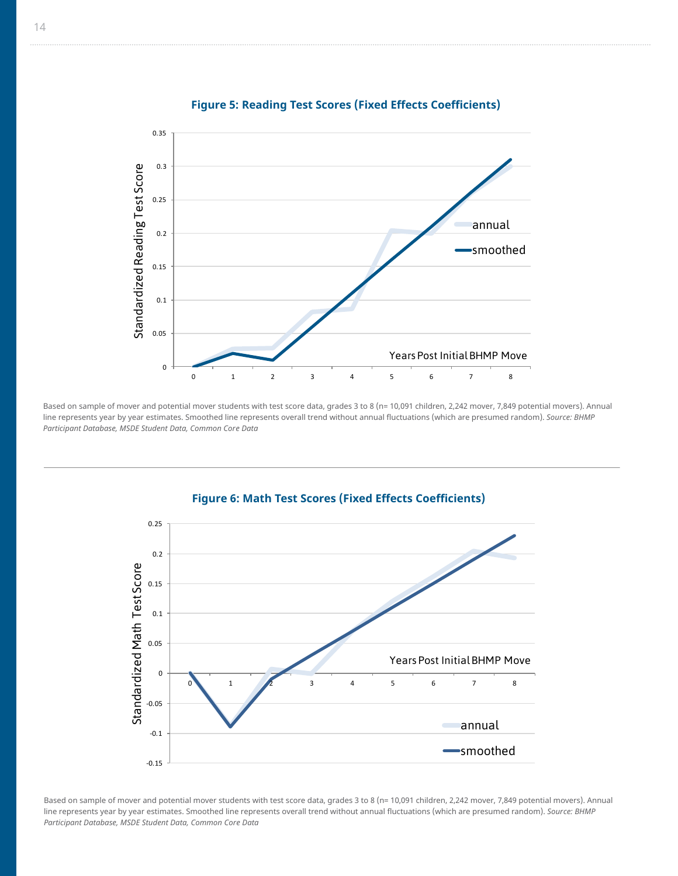

#### **Figure 5: Reading Test Scores (Fixed Effects Coefficients)**  Figure 5: Reading Test Scores (Fixed Effects

Based on sample of mover and potential mover students with test score data, grades 3 to 8 (n= 10,091 children, 2,242 mover, 7,849 potential movers). Annual line represents year by year estimates. Smoothed line represents overall trend without annual fluctuations (which are presumed random). *Source: BHMP Participant Database, MSDE Student Data, Common Core Data*



Based on sample of mover and potential mover students with test score data, grades 3 to 8 (n= 10,091 children, 2,242 mover, 7,849 potential movers). Annual line represents year by year estimates. Smoothed line represents overall trend without annual fluctuations (which are presumed random). *Source: BHMP Participant Database, MSDE Student Data, Common Core Data*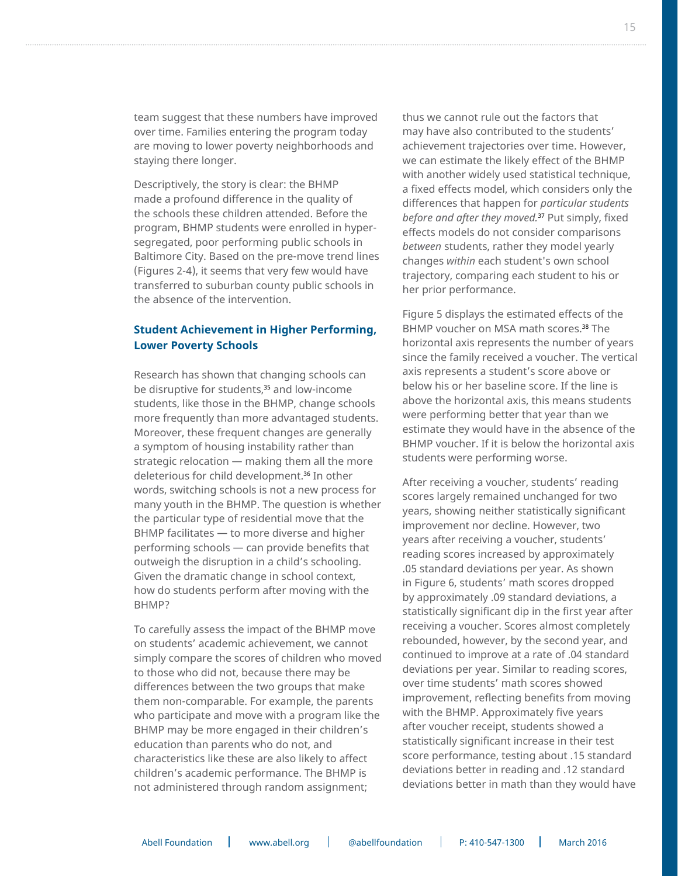team suggest that these numbers have improved over time. Families entering the program today are moving to lower poverty neighborhoods and staying there longer.

Descriptively, the story is clear: the BHMP made a profound difference in the quality of the schools these children attended. Before the program, BHMP students were enrolled in hypersegregated, poor performing public schools in Baltimore City. Based on the pre-move trend lines (Figures 2-4), it seems that very few would have transferred to suburban county public schools in the absence of the intervention.

#### **Student Achievement in Higher Performing, Lower Poverty Schools**

Research has shown that changing schools can be disruptive for students,<sup>35</sup> and low-income students, like those in the BHMP, change schools more frequently than more advantaged students. Moreover, these frequent changes are generally a symptom of housing instability rather than strategic relocation — making them all the more deleterious for child development.36 In other words, switching schools is not a new process for many youth in the BHMP. The question is whether the particular type of residential move that the BHMP facilitates — to more diverse and higher performing schools — can provide benefits that outweigh the disruption in a child's schooling. Given the dramatic change in school context, how do students perform after moving with the BHMP?

To carefully assess the impact of the BHMP move on students' academic achievement, we cannot simply compare the scores of children who moved to those who did not, because there may be differences between the two groups that make them non-comparable. For example, the parents who participate and move with a program like the BHMP may be more engaged in their children's education than parents who do not, and characteristics like these are also likely to affect children's academic performance. The BHMP is not administered through random assignment;

thus we cannot rule out the factors that may have also contributed to the students' achievement trajectories over time. However, we can estimate the likely effect of the BHMP with another widely used statistical technique, a fixed effects model, which considers only the differences that happen for *particular students before and after they moved.*<sup>37</sup> Put simply, fixed effects models do not consider comparisons *between* students, rather they model yearly changes *within* each student's own school trajectory, comparing each student to his or her prior performance.

Figure 5 displays the estimated effects of the BHMP voucher on MSA math scores.<sup>38</sup> The horizontal axis represents the number of years since the family received a voucher. The vertical axis represents a student's score above or below his or her baseline score. If the line is above the horizontal axis, this means students were performing better that year than we estimate they would have in the absence of the BHMP voucher. If it is below the horizontal axis students were performing worse.

After receiving a voucher, students' reading scores largely remained unchanged for two years, showing neither statistically significant improvement nor decline. However, two years after receiving a voucher, students' reading scores increased by approximately .05 standard deviations per year. As shown in Figure 6, students' math scores dropped by approximately .09 standard deviations, a statistically significant dip in the first year after receiving a voucher. Scores almost completely rebounded, however, by the second year, and continued to improve at a rate of .04 standard deviations per year. Similar to reading scores, over time students' math scores showed improvement, reflecting benefits from moving with the BHMP. Approximately five years after voucher receipt, students showed a statistically significant increase in their test score performance, testing about .15 standard deviations better in reading and .12 standard deviations better in math than they would have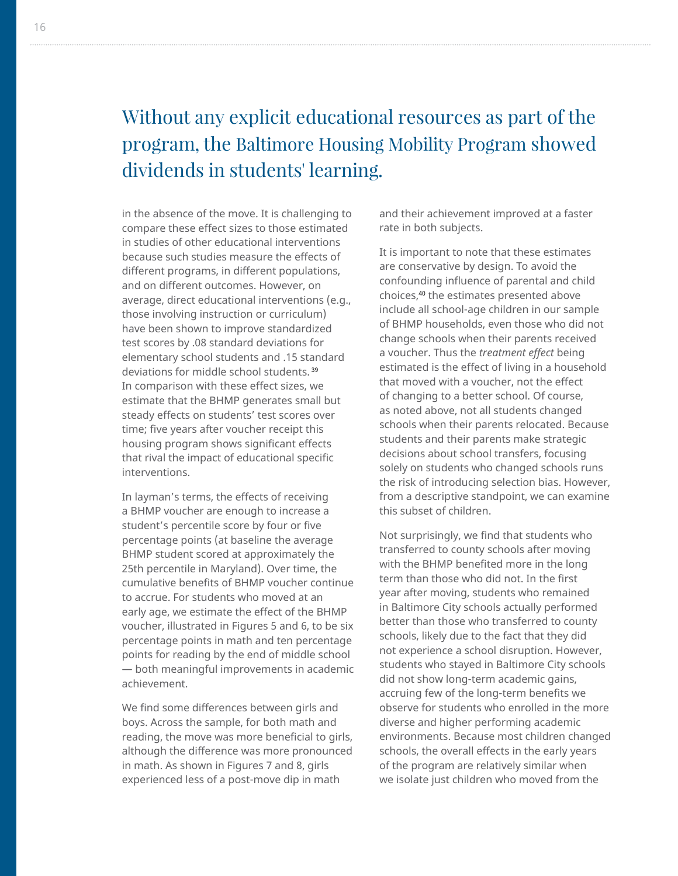# Without any explicit educational resources as part of the program, the Baltimore Housing Mobility Program showed dividends in students' learning.

in the absence of the move. It is challenging to compare these effect sizes to those estimated in studies of other educational interventions because such studies measure the effects of different programs, in different populations, and on different outcomes. However, on average, direct educational interventions (e.g., those involving instruction or curriculum) have been shown to improve standardized test scores by .08 standard deviations for elementary school students and .15 standard deviations for middle school students. 39 In comparison with these effect sizes, we estimate that the BHMP generates small but steady effects on students' test scores over time; five years after voucher receipt this housing program shows significant effects that rival the impact of educational specific interventions.

In layman's terms, the effects of receiving a BHMP voucher are enough to increase a student's percentile score by four or five percentage points (at baseline the average BHMP student scored at approximately the 25th percentile in Maryland). Over time, the cumulative benefits of BHMP voucher continue to accrue. For students who moved at an early age, we estimate the effect of the BHMP voucher, illustrated in Figures 5 and 6, to be six percentage points in math and ten percentage points for reading by the end of middle school — both meaningful improvements in academic achievement.

We find some differences between girls and boys. Across the sample, for both math and reading, the move was more beneficial to girls, although the difference was more pronounced in math. As shown in Figures 7 and 8, girls experienced less of a post-move dip in math

and their achievement improved at a faster rate in both subjects.

It is important to note that these estimates are conservative by design. To avoid the confounding influence of parental and child choices,40 the estimates presented above include all school-age children in our sample of BHMP households, even those who did not change schools when their parents received a voucher. Thus the *treatment effect* being estimated is the effect of living in a household that moved with a voucher, not the effect of changing to a better school. Of course, as noted above, not all students changed schools when their parents relocated. Because students and their parents make strategic decisions about school transfers, focusing solely on students who changed schools runs the risk of introducing selection bias. However, from a descriptive standpoint, we can examine this subset of children.

Not surprisingly, we find that students who transferred to county schools after moving with the BHMP benefited more in the long term than those who did not. In the first year after moving, students who remained in Baltimore City schools actually performed better than those who transferred to county schools, likely due to the fact that they did not experience a school disruption. However, students who stayed in Baltimore City schools did not show long-term academic gains, accruing few of the long-term benefits we observe for students who enrolled in the more diverse and higher performing academic environments. Because most children changed schools, the overall effects in the early years of the program are relatively similar when we isolate just children who moved from the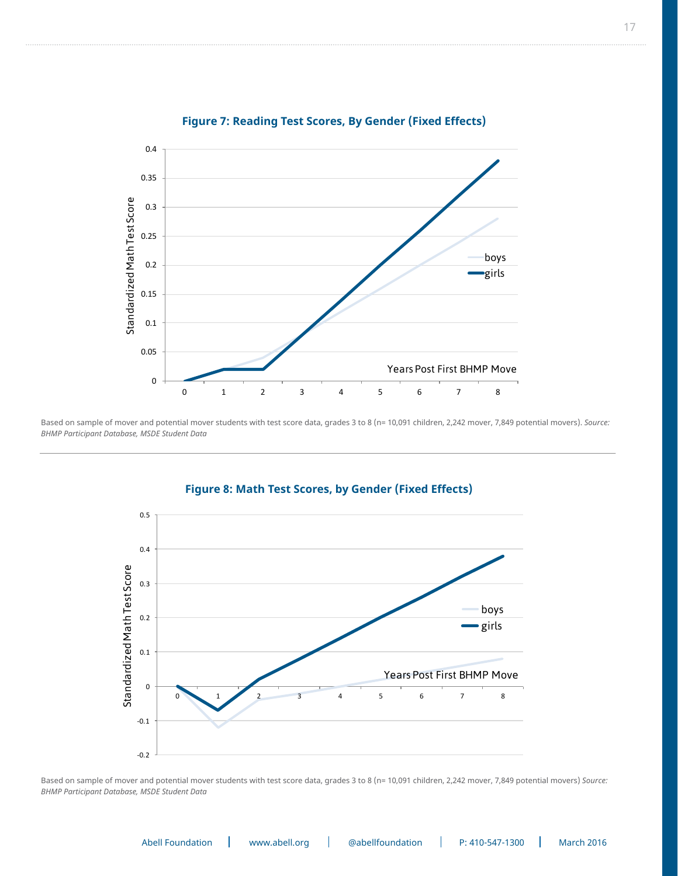

### **Figure 7: Reading Test Scores, By Gender (Fixed Effects)** Figure 7: Reading Test Scores, By Gender (Fixed Effects)

Based on sample of mover and potential mover students with test score data, grades 3 to 8 (n= 10,091 children, 2,242 mover, 7,849 potential movers). *Source: BHMP Participant Database, MSDE Student Data*



### **Figure 8: Math Test Scores, by Gender (Fixed Effects)** Figure 8: Math Test Scores, by Gender (Fixed Effects)

Based on sample of mover and potential mover students with test score data, grades 3 to 8 (n= 10,091 children, 2,242 mover, 7,849 potential movers) *Source: BHMP Participant Database, MSDE Student Data*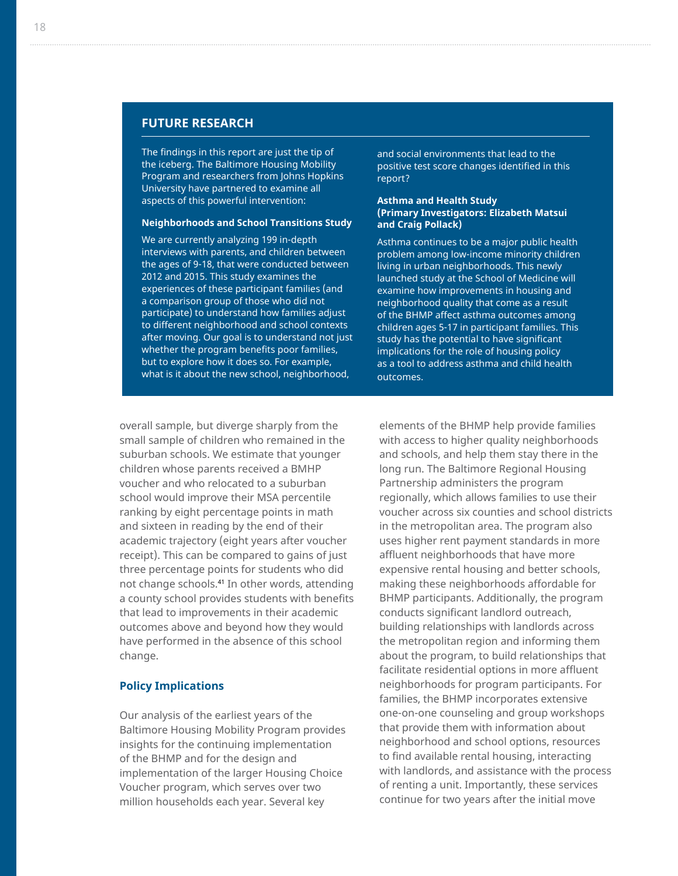#### **FUTURE RESEARCH**

The findings in this report are just the tip of the iceberg. The Baltimore Housing Mobility Program and researchers from Johns Hopkins University have partnered to examine all aspects of this powerful intervention:

#### **Neighborhoods and School Transitions Study**

We are currently analyzing 199 in-depth interviews with parents, and children between the ages of 9-18, that were conducted between 2012 and 2015. This study examines the experiences of these participant families (and a comparison group of those who did not participate) to understand how families adjust to different neighborhood and school contexts after moving. Our goal is to understand not just whether the program benefits poor families, but to explore how it does so. For example, what is it about the new school, neighborhood,

and social environments that lead to the positive test score changes identified in this report?

#### **Asthma and Health Study (Primary Investigators: Elizabeth Matsui and Craig Pollack)**

Asthma continues to be a major public health problem among low-income minority children living in urban neighborhoods. This newly launched study at the School of Medicine will examine how improvements in housing and neighborhood quality that come as a result of the BHMP affect asthma outcomes among children ages 5-17 in participant families. This study has the potential to have significant implications for the role of housing policy as a tool to address asthma and child health outcomes.

overall sample, but diverge sharply from the small sample of children who remained in the suburban schools. We estimate that younger children whose parents received a BMHP voucher and who relocated to a suburban school would improve their MSA percentile ranking by eight percentage points in math and sixteen in reading by the end of their academic trajectory (eight years after voucher receipt). This can be compared to gains of just three percentage points for students who did not change schools.41 In other words, attending a county school provides students with benefits that lead to improvements in their academic outcomes above and beyond how they would have performed in the absence of this school change.

#### **Policy Implications**

Our analysis of the earliest years of the Baltimore Housing Mobility Program provides insights for the continuing implementation of the BHMP and for the design and implementation of the larger Housing Choice Voucher program, which serves over two million households each year. Several key

elements of the BHMP help provide families with access to higher quality neighborhoods and schools, and help them stay there in the long run. The Baltimore Regional Housing Partnership administers the program regionally, which allows families to use their voucher across six counties and school districts in the metropolitan area. The program also uses higher rent payment standards in more affluent neighborhoods that have more expensive rental housing and better schools, making these neighborhoods affordable for BHMP participants. Additionally, the program conducts significant landlord outreach, building relationships with landlords across the metropolitan region and informing them about the program, to build relationships that facilitate residential options in more affluent neighborhoods for program participants. For families, the BHMP incorporates extensive one-on-one counseling and group workshops that provide them with information about neighborhood and school options, resources to find available rental housing, interacting with landlords, and assistance with the process of renting a unit. Importantly, these services continue for two years after the initial move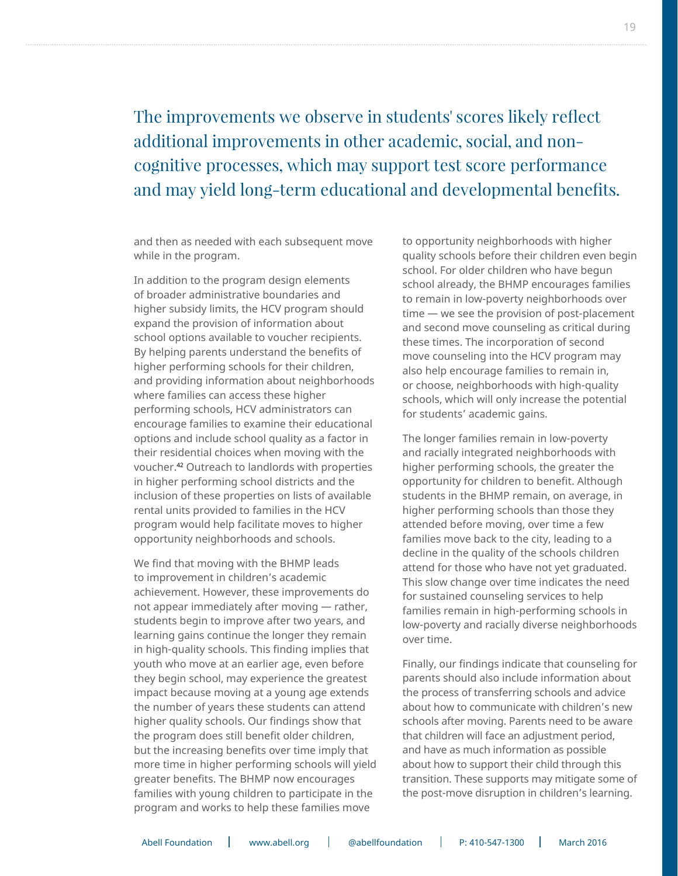### The improvements we observe in students' scores likely reflect additional improvements in other academic, social, and noncognitive processes, which may support test score performance and may yield long-term educational and developmental benefits.

and then as needed with each subsequent move while in the program.

In addition to the program design elements of broader administrative boundaries and higher subsidy limits, the HCV program should expand the provision of information about school options available to voucher recipients. By helping parents understand the benefits of higher performing schools for their children, and providing information about neighborhoods where families can access these higher performing schools, HCV administrators can encourage families to examine their educational options and include school quality as a factor in their residential choices when moving with the voucher.42 Outreach to landlords with properties in higher performing school districts and the inclusion of these properties on lists of available rental units provided to families in the HCV program would help facilitate moves to higher opportunity neighborhoods and schools.

We find that moving with the BHMP leads to improvement in children's academic achievement. However, these improvements do not appear immediately after moving — rather, students begin to improve after two years, and learning gains continue the longer they remain in high-quality schools. This finding implies that youth who move at an earlier age, even before they begin school, may experience the greatest impact because moving at a young age extends the number of years these students can attend higher quality schools. Our findings show that the program does still benefit older children, but the increasing benefits over time imply that more time in higher performing schools will yield greater benefits. The BHMP now encourages families with young children to participate in the program and works to help these families move

to opportunity neighborhoods with higher quality schools before their children even begin school. For older children who have begun school already, the BHMP encourages families to remain in low-poverty neighborhoods over time — we see the provision of post-placement and second move counseling as critical during these times. The incorporation of second move counseling into the HCV program may also help encourage families to remain in, or choose, neighborhoods with high-quality schools, which will only increase the potential for students' academic gains.

The longer families remain in low-poverty and racially integrated neighborhoods with higher performing schools, the greater the opportunity for children to benefit. Although students in the BHMP remain, on average, in higher performing schools than those they attended before moving, over time a few families move back to the city, leading to a decline in the quality of the schools children attend for those who have not yet graduated. This slow change over time indicates the need for sustained counseling services to help families remain in high-performing schools in low-poverty and racially diverse neighborhoods over time.

Finally, our findings indicate that counseling for parents should also include information about the process of transferring schools and advice about how to communicate with children's new schools after moving. Parents need to be aware that children will face an adjustment period, and have as much information as possible about how to support their child through this transition. These supports may mitigate some of the post-move disruption in children's learning.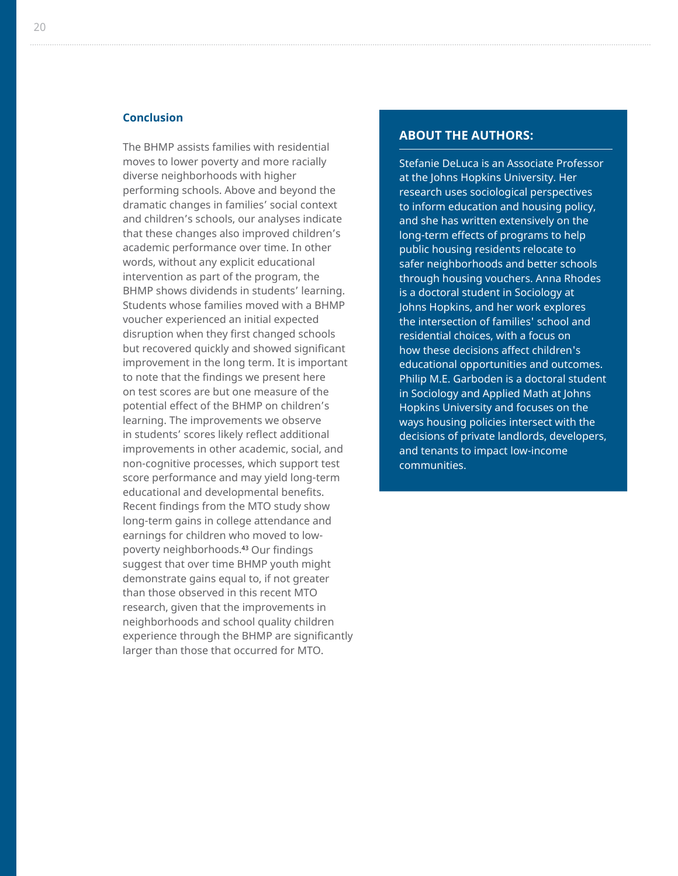#### **Conclusion**

The BHMP assists families with residential moves to lower poverty and more racially diverse neighborhoods with higher performing schools. Above and beyond the dramatic changes in families' social context and children's schools, our analyses indicate that these changes also improved children's academic performance over time. In other words, without any explicit educational intervention as part of the program, the BHMP shows dividends in students' learning. Students whose families moved with a BHMP voucher experienced an initial expected disruption when they first changed schools but recovered quickly and showed significant improvement in the long term. It is important to note that the findings we present here on test scores are but one measure of the potential effect of the BHMP on children's learning. The improvements we observe in students' scores likely reflect additional improvements in other academic, social, and non-cognitive processes, which support test score performance and may yield long-term educational and developmental benefits. Recent findings from the MTO study show long-term gains in college attendance and earnings for children who moved to lowpoverty neighborhoods.43 Our findings suggest that over time BHMP youth might demonstrate gains equal to, if not greater than those observed in this recent MTO research, given that the improvements in neighborhoods and school quality children experience through the BHMP are significantly larger than those that occurred for MTO.

#### **ABOUT THE AUTHORS:**

Stefanie DeLuca is an Associate Professor at the Johns Hopkins University. Her research uses sociological perspectives to inform education and housing policy, and she has written extensively on the long-term effects of programs to help public housing residents relocate to safer neighborhoods and better schools through housing vouchers. Anna Rhodes is a doctoral student in Sociology at Johns Hopkins, and her work explores the intersection of families' school and residential choices, with a focus on how these decisions affect children's educational opportunities and outcomes. Philip M.E. Garboden is a doctoral student in Sociology and Applied Math at Johns Hopkins University and focuses on the ways housing policies intersect with the decisions of private landlords, developers, and tenants to impact low-income communities.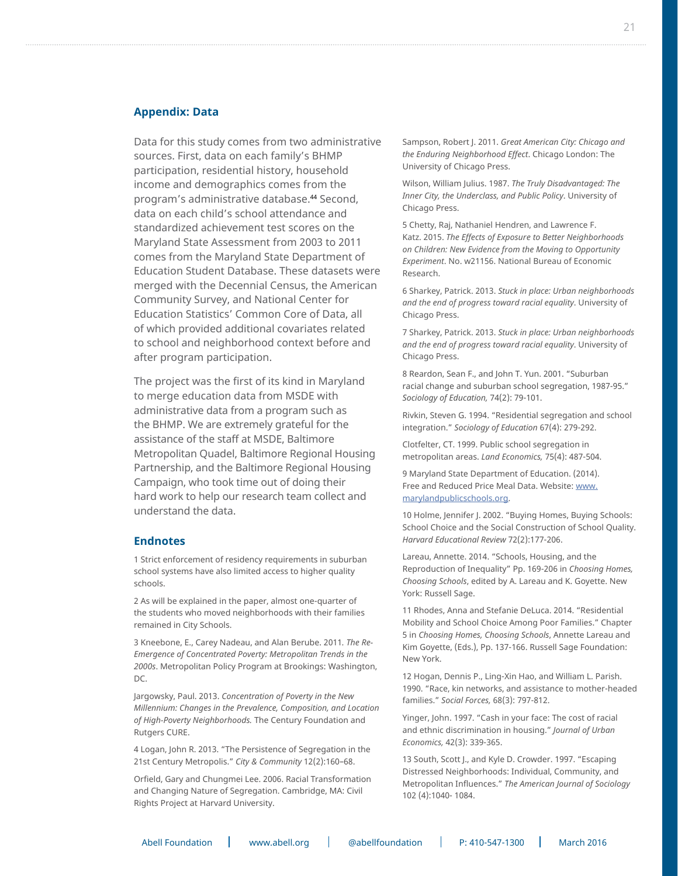#### **Appendix: Data**

Data for this study comes from two administrative sources. First, data on each family's BHMP participation, residential history, household income and demographics comes from the program's administrative database.44 Second, data on each child's school attendance and standardized achievement test scores on the Maryland State Assessment from 2003 to 2011 comes from the Maryland State Department of Education Student Database. These datasets were merged with the Decennial Census, the American Community Survey, and National Center for Education Statistics' Common Core of Data, all of which provided additional covariates related to school and neighborhood context before and after program participation.

The project was the first of its kind in Maryland to merge education data from MSDE with administrative data from a program such as the BHMP. We are extremely grateful for the assistance of the staff at MSDE, Baltimore Metropolitan Quadel, Baltimore Regional Housing Partnership, and the Baltimore Regional Housing Campaign, who took time out of doing their hard work to help our research team collect and understand the data.

#### **Endnotes**

1 Strict enforcement of residency requirements in suburban school systems have also limited access to higher quality schools.

2 As will be explained in the paper, almost one-quarter of the students who moved neighborhoods with their families remained in City Schools.

3 Kneebone, E., Carey Nadeau, and Alan Berube. 2011*. The Re-Emergence of Concentrated Poverty: Metropolitan Trends in the 2000s*. Metropolitan Policy Program at Brookings: Washington, DC.

Jargowsky, Paul. 2013. *Concentration of Poverty in the New Millennium: Changes in the Prevalence, Composition, and Location of High-Poverty Neighborhoods.* The Century Foundation and Rutgers CURE.

4 Logan, John R. 2013. "The Persistence of Segregation in the 21st Century Metropolis." *City & Community* 12(2):160–68.

Orfield, Gary and Chungmei Lee. 2006. Racial Transformation and Changing Nature of Segregation. Cambridge, MA: Civil Rights Project at Harvard University.

Sampson, Robert J. 2011. *Great American City: Chicago and the Enduring Neighborhood Effect*. Chicago London: The University of Chicago Press.

Wilson, William Julius. 1987. *The Truly Disadvantaged: The Inner City, the Underclass, and Public Policy*. University of Chicago Press.

5 Chetty, Raj, Nathaniel Hendren, and Lawrence F. Katz. 2015. *The Effects of Exposure to Better Neighborhoods on Children: New Evidence from the Moving to Opportunity Experiment*. No. w21156. National Bureau of Economic Research.

6 Sharkey, Patrick. 2013. *Stuck in place: Urban neighborhoods and the end of progress toward racial equality*. University of Chicago Press.

7 Sharkey, Patrick. 2013. *Stuck in place: Urban neighborhoods and the end of progress toward racial equality*. University of Chicago Press.

8 Reardon, Sean F., and John T. Yun. 2001. "Suburban racial change and suburban school segregation, 1987-95." *Sociology of Education,* 74(2): 79-101.

Rivkin, Steven G. 1994. "Residential segregation and school integration." *Sociology of Education* 67(4): 279-292.

Clotfelter, CT. 1999. Public school segregation in metropolitan areas. *Land Economics,* 75(4): 487-504.

9 Maryland State Department of Education. (2014). Free and Reduced Price Meal Data. Website: [www.](http://www.marylandpublicschools.org) [marylandpublicschools.org](http://www.marylandpublicschools.org).

10 Holme, Jennifer J. 2002. "Buying Homes, Buying Schools: School Choice and the Social Construction of School Quality. *Harvard Educational Review* 72(2):177-206.

Lareau, Annette. 2014. "Schools, Housing, and the Reproduction of Inequality" Pp. 169-206 in *Choosing Homes, Choosing Schools*, edited by A. Lareau and K. Goyette. New York: Russell Sage.

11 Rhodes, Anna and Stefanie DeLuca. 2014. "Residential Mobility and School Choice Among Poor Families." Chapter 5 in *Choosing Homes, Choosing Schools*, Annette Lareau and Kim Goyette, (Eds.), Pp. 137-166. Russell Sage Foundation: New York.

12 Hogan, Dennis P., Ling-Xin Hao, and William L. Parish. 1990. "Race, kin networks, and assistance to mother-headed families." *Social Forces,* 68(3): 797-812.

Yinger, John. 1997. "Cash in your face: The cost of racial and ethnic discrimination in housing." *Journal of Urban Economics,* 42(3): 339-365.

13 South, Scott J., and Kyle D. Crowder. 1997. "Escaping Distressed Neighborhoods: Individual, Community, and Metropolitan Influences." *The American Journal of Sociology*  102 (4):1040- 1084.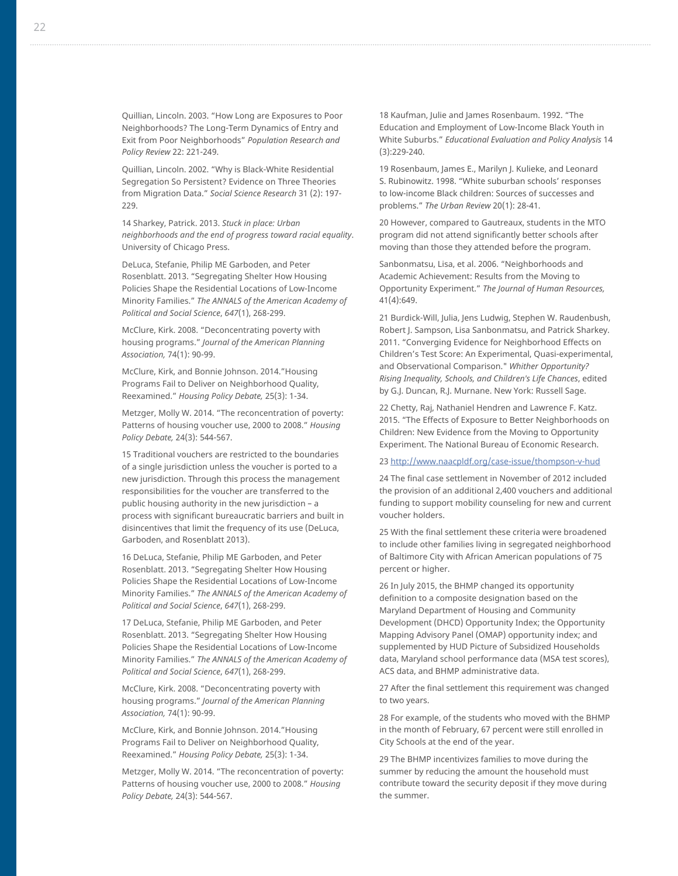Quillian, Lincoln. 2003. "How Long are Exposures to Poor Neighborhoods? The Long-Term Dynamics of Entry and Exit from Poor Neighborhoods" *Population Research and Policy Review* 22: 221-249.

Quillian, Lincoln. 2002. "Why is Black-White Residential Segregation So Persistent? Evidence on Three Theories from Migration Data." *Social Science Research* 31 (2): 197- 229.

14 Sharkey, Patrick. 2013. *Stuck in place: Urban neighborhoods and the end of progress toward racial equality*. University of Chicago Press.

DeLuca, Stefanie, Philip ME Garboden, and Peter Rosenblatt. 2013. "Segregating Shelter How Housing Policies Shape the Residential Locations of Low-Income Minority Families." *The ANNALS of the American Academy of Political and Social Science*, *647*(1), 268-299.

McClure, Kirk. 2008. "Deconcentrating poverty with housing programs." *Journal of the American Planning Association,* 74(1): 90-99.

McClure, Kirk, and Bonnie Johnson. 2014."Housing Programs Fail to Deliver on Neighborhood Quality, Reexamined." *Housing Policy Debate,* 25(3): 1-34.

Metzger, Molly W. 2014. "The reconcentration of poverty: Patterns of housing voucher use, 2000 to 2008." *Housing Policy Debate,* 24(3): 544-567.

15 Traditional vouchers are restricted to the boundaries of a single jurisdiction unless the voucher is ported to a new jurisdiction. Through this process the management responsibilities for the voucher are transferred to the public housing authority in the new jurisdiction – a process with significant bureaucratic barriers and built in disincentives that limit the frequency of its use (DeLuca, Garboden, and Rosenblatt 2013).

16 DeLuca, Stefanie, Philip ME Garboden, and Peter Rosenblatt. 2013. "Segregating Shelter How Housing Policies Shape the Residential Locations of Low-Income Minority Families." *The ANNALS of the American Academy of Political and Social Science*, *647*(1), 268-299.

17 DeLuca, Stefanie, Philip ME Garboden, and Peter Rosenblatt. 2013. "Segregating Shelter How Housing Policies Shape the Residential Locations of Low-Income Minority Families." *The ANNALS of the American Academy of Political and Social Science*, *647*(1), 268-299.

McClure, Kirk. 2008. "Deconcentrating poverty with housing programs." *Journal of the American Planning Association,* 74(1): 90-99.

McClure, Kirk, and Bonnie Johnson. 2014."Housing Programs Fail to Deliver on Neighborhood Quality, Reexamined." *Housing Policy Debate,* 25(3): 1-34.

Metzger, Molly W. 2014. "The reconcentration of poverty: Patterns of housing voucher use, 2000 to 2008." *Housing Policy Debate,* 24(3): 544-567.

18 Kaufman, Julie and James Rosenbaum. 1992. "The Education and Employment of Low-Income Black Youth in White Suburbs." *Educational Evaluation and Policy Analysis* 14 (3):229-240.

19 Rosenbaum, James E., Marilyn J. Kulieke, and Leonard S. Rubinowitz. 1998. "White suburban schools' responses to low-income Black children: Sources of successes and problems." *The Urban Review* 20(1): 28-41.

20 However, compared to Gautreaux, students in the MTO program did not attend significantly better schools after moving than those they attended before the program.

Sanbonmatsu, Lisa, et al. 2006. "Neighborhoods and Academic Achievement: Results from the Moving to Opportunity Experiment." *The Journal of Human Resources,*  41(4):649.

21 Burdick-Will, Julia, Jens Ludwig, Stephen W. Raudenbush, Robert J. Sampson, Lisa Sanbonmatsu, and Patrick Sharkey. 2011. "Converging Evidence for Neighborhood Effects on Children's Test Score: An Experimental, Quasi-experimental, and Observational Comparison." *Whither Opportunity? Rising Inequality, Schools, and Children's Life Chances*, edited by G.J. Duncan, R.J. Murnane. New York: Russell Sage.

22 Chetty, Raj, Nathaniel Hendren and Lawrence F. Katz. 2015. "The Effects of Exposure to Better Neighborhoods on Children: New Evidence from the Moving to Opportunity Experiment. The National Bureau of Economic Research.

23 <http://www.naacpldf.org/case-issue/thompson-v-hud>

24 The final case settlement in November of 2012 included the provision of an additional 2,400 vouchers and additional funding to support mobility counseling for new and current voucher holders.

25 With the final settlement these criteria were broadened to include other families living in segregated neighborhood of Baltimore City with African American populations of 75 percent or higher.

26 In July 2015, the BHMP changed its opportunity definition to a composite designation based on the Maryland Department of Housing and Community Development (DHCD) Opportunity Index; the Opportunity Mapping Advisory Panel (OMAP) opportunity index; and supplemented by HUD Picture of Subsidized Households data, Maryland school performance data (MSA test scores), ACS data, and BHMP administrative data.

27 After the final settlement this requirement was changed to two years.

28 For example, of the students who moved with the BHMP in the month of February, 67 percent were still enrolled in City Schools at the end of the year.

29 The BHMP incentivizes families to move during the summer by reducing the amount the household must contribute toward the security deposit if they move during the summer.